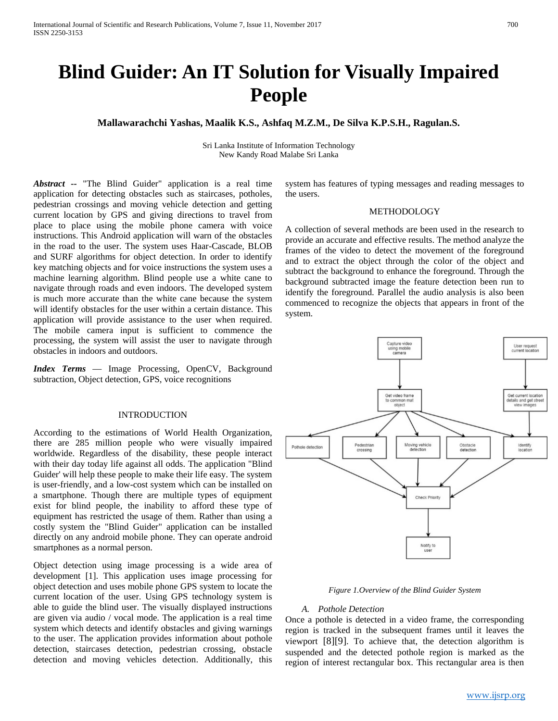# **Blind Guider: An IT Solution for Visually Impaired People**

# **Mallawarachchi Yashas, Maalik K.S., Ashfaq M.Z.M., De Silva K.P.S.H., Ragulan.S.**

Sri Lanka Institute of Information Technology New Kandy Road Malabe Sri Lanka

*Abstract --* "The Blind Guider" application is a real time application for detecting obstacles such as staircases, potholes, pedestrian crossings and moving vehicle detection and getting current location by GPS and giving directions to travel from place to place using the mobile phone camera with voice instructions. This Android application will warn of the obstacles in the road to the user. The system uses Haar-Cascade, BLOB and SURF algorithms for object detection. In order to identify key matching objects and for voice instructions the system uses a machine learning algorithm. Blind people use a white cane to navigate through roads and even indoors. The developed system is much more accurate than the white cane because the system will identify obstacles for the user within a certain distance. This application will provide assistance to the user when required. The mobile camera input is sufficient to commence the processing, the system will assist the user to navigate through obstacles in indoors and outdoors.

*Index Terms* — Image Processing, OpenCV, Background subtraction, Object detection, GPS, voice recognitions

#### INTRODUCTION

According to the estimations of World Health Organization, there are 285 million people who were visually impaired worldwide. Regardless of the disability, these people interact with their day today life against all odds. The application "Blind Guider' will help these people to make their life easy. The system is user-friendly, and a low-cost system which can be installed on a smartphone. Though there are multiple types of equipment exist for blind people, the inability to afford these type of equipment has restricted the usage of them. Rather than using a costly system the "Blind Guider" application can be installed directly on any android mobile phone. They can operate android smartphones as a normal person.

Object detection using image processing is a wide area of development [1]. This application uses image processing for object detection and uses mobile phone GPS system to locate the current location of the user. Using GPS technology system is able to guide the blind user. The visually displayed instructions are given via audio / vocal mode. The application is a real time system which detects and identify obstacles and giving warnings to the user. The application provides information about pothole detection, staircases detection, pedestrian crossing, obstacle detection and moving vehicles detection. Additionally, this

system has features of typing messages and reading messages to the users.

# METHODOLOGY

A collection of several methods are been used in the research to provide an accurate and effective results. The method analyze the frames of the video to detect the movement of the foreground and to extract the object through the color of the object and subtract the background to enhance the foreground. Through the background subtracted image the feature detection been run to identify the foreground. Parallel the audio analysis is also been commenced to recognize the objects that appears in front of the system.



#### *Figure 1.Overview of the Blind Guider System*

#### *A. Pothole Detection*

Once a pothole is detected in a video frame, the corresponding region is tracked in the subsequent frames until it leaves the viewport [8][9]. To achieve that, the detection algorithm is suspended and the detected pothole region is marked as the region of interest rectangular box. This rectangular area is then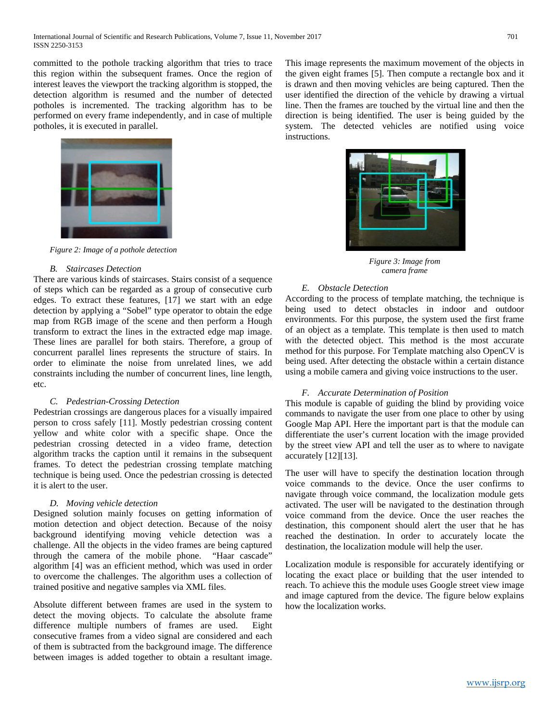committed to the pothole tracking algorithm that tries to trace this region within the subsequent frames. Once the region of interest leaves the viewport the tracking algorithm is stopped, the detection algorithm is resumed and the number of detected potholes is incremented. The tracking algorithm has to be performed on every frame independently, and in case of multiple potholes, it is executed in parallel.



 *Figure 2: Image of a pothole detection*

## *B. Staircases Detection*

There are various kinds of staircases. Stairs consist of a sequence of steps which can be regarded as a group of consecutive curb edges. To extract these features, [17] we start with an edge detection by applying a "Sobel" type operator to obtain the edge map from RGB image of the scene and then perform a Hough transform to extract the lines in the extracted edge map image. These lines are parallel for both stairs. Therefore, a group of concurrent parallel lines represents the structure of stairs. In order to eliminate the noise from unrelated lines, we add constraints including the number of concurrent lines, line length, etc.

## *C. Pedestrian-Crossing Detection*

Pedestrian crossings are dangerous places for a visually impaired person to cross safely [11]. Mostly pedestrian crossing content yellow and white color with a specific shape. Once the pedestrian crossing detected in a video frame, detection algorithm tracks the caption until it remains in the subsequent frames. To detect the pedestrian crossing template matching technique is being used. Once the pedestrian crossing is detected it is alert to the user.

## *D. Moving vehicle detection*

Designed solution mainly focuses on getting information of motion detection and object detection. Because of the noisy background identifying moving vehicle detection was a challenge. All the objects in the video frames are being captured through the camera of the mobile phone. "Haar cascade" algorithm [4] was an efficient method, which was used in order to overcome the challenges. The algorithm uses a collection of trained positive and negative samples via XML files.

Absolute different between frames are used in the system to detect the moving objects. To calculate the absolute frame difference multiple numbers of frames are used. Eight consecutive frames from a video signal are considered and each of them is subtracted from the background image. The difference between images is added together to obtain a resultant image. This image represents the maximum movement of the objects in the given eight frames [5]. Then compute a rectangle box and it is drawn and then moving vehicles are being captured. Then the user identified the direction of the vehicle by drawing a virtual line. Then the frames are touched by the virtual line and then the direction is being identified. The user is being guided by the system. The detected vehicles are notified using voice instructions.



*Figure 3: Image from camera frame*

## *E. Obstacle Detection*

According to the process of template matching, the technique is being used to detect obstacles in indoor and outdoor environments. For this purpose, the system used the first frame of an object as a template. This template is then used to match with the detected object. This method is the most accurate method for this purpose. For Template matching also OpenCV is being used. After detecting the obstacle within a certain distance using a mobile camera and giving voice instructions to the user.

#### *F. Accurate Determination of Position*

This module is capable of guiding the blind by providing voice commands to navigate the user from one place to other by using Google Map API. Here the important part is that the module can differentiate the user's current location with the image provided by the street view API and tell the user as to where to navigate accurately [12][13].

The user will have to specify the destination location through voice commands to the device. Once the user confirms to navigate through voice command, the localization module gets activated. The user will be navigated to the destination through voice command from the device. Once the user reaches the destination, this component should alert the user that he has reached the destination. In order to accurately locate the destination, the localization module will help the user.

Localization module is responsible for accurately identifying or locating the exact place or building that the user intended to reach. To achieve this the module uses Google street view image and image captured from the device. The figure below explains how the localization works.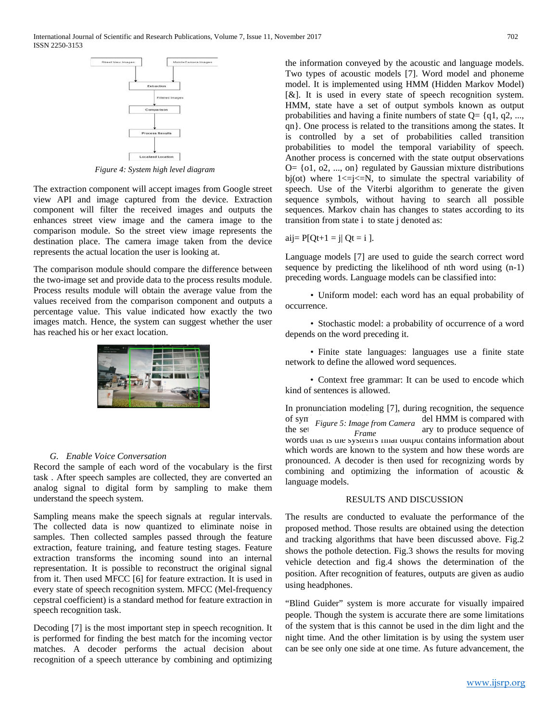

*Figure 4: System high level diagram*

The extraction component will accept images from Google street view API and image captured from the device. Extraction component will filter the received images and outputs the enhances street view image and the camera image to the comparison module. So the street view image represents the destination place. The camera image taken from the device represents the actual location the user is looking at.

The comparison module should compare the difference between the two-image set and provide data to the process results module. Process results module will obtain the average value from the values received from the comparison component and outputs a percentage value. This value indicated how exactly the two images match. Hence, the system can suggest whether the user has reached his or her exact location.



## *G. Enable Voice Conversation*

Record the sample of each word of the vocabulary is the first task . After speech samples are collected, they are converted an analog signal to digital form by sampling to make them understand the speech system.

Sampling means make the speech signals at regular intervals. The collected data is now quantized to eliminate noise in samples. Then collected samples passed through the feature extraction, feature training, and feature testing stages. Feature extraction transforms the incoming sound into an internal representation. It is possible to reconstruct the original signal from it. Then used MFCC [6] for feature extraction. It is used in every state of speech recognition system. MFCC (Mel-frequency cepstral coefficient) is a standard method for feature extraction in speech recognition task.

Decoding [7] is the most important step in speech recognition. It is performed for finding the best match for the incoming vector matches. A decoder performs the actual decision about recognition of a speech utterance by combining and optimizing the information conveyed by the acoustic and language models. Two types of acoustic models [7]. Word model and phoneme model. It is implemented using HMM (Hidden Markov Model) [&]. It is used in every state of speech recognition system. HMM, state have a set of output symbols known as output probabilities and having a finite numbers of state  $Q = \{q_1, q_2, \ldots, q_n\}$ qn}. One process is related to the transitions among the states. It is controlled by a set of probabilities called transition probabilities to model the temporal variability of speech. Another process is concerned with the state output observations  $Q = \{0, 0, 0, \ldots, 0\}$  regulated by Gaussian mixture distributions bj(ot) where  $1 \le i \le N$ , to simulate the spectral variability of speech. Use of the Viterbi algorithm to generate the given sequence symbols, without having to search all possible sequences. Markov chain has changes to states according to its transition from state i to state j denoted as:

$$
aij = P[Qt+1 = j | Qt = i].
$$

Language models [7] are used to guide the search correct word sequence by predicting the likelihood of nth word using (n-1) preceding words. Language models can be classified into:

 • Uniform model: each word has an equal probability of occurrence.

 • Stochastic model: a probability of occurrence of a word depends on the word preceding it.

 • Finite state languages: languages use a finite state network to define the allowed word sequences.

 • Context free grammar: It can be used to encode which kind of sentences is allowed.

In pronunciation modeling [7], during recognition, the sequence of syn Figure 5: Image from Camera del HMM is compared with the set  $\frac{1}{\epsilon_{\text{frame}}}$  frame is an and a diverse sequence of words that is the system's final output contains information about which words are known to the system and how these words are pronounced. A decoder is then used for recognizing words by combining and optimizing the information of acoustic & language models. *Frame*

# RESULTS AND DISCUSSION

The results are conducted to evaluate the performance of the proposed method. Those results are obtained using the detection and tracking algorithms that have been discussed above. Fig.2 shows the pothole detection. Fig.3 shows the results for moving vehicle detection and fig.4 shows the determination of the position. After recognition of features, outputs are given as audio using headphones.

"Blind Guider" system is more accurate for visually impaired people. Though the system is accurate there are some limitations of the system that is this cannot be used in the dim light and the night time. And the other limitation is by using the system user can be see only one side at one time. As future advancement, the